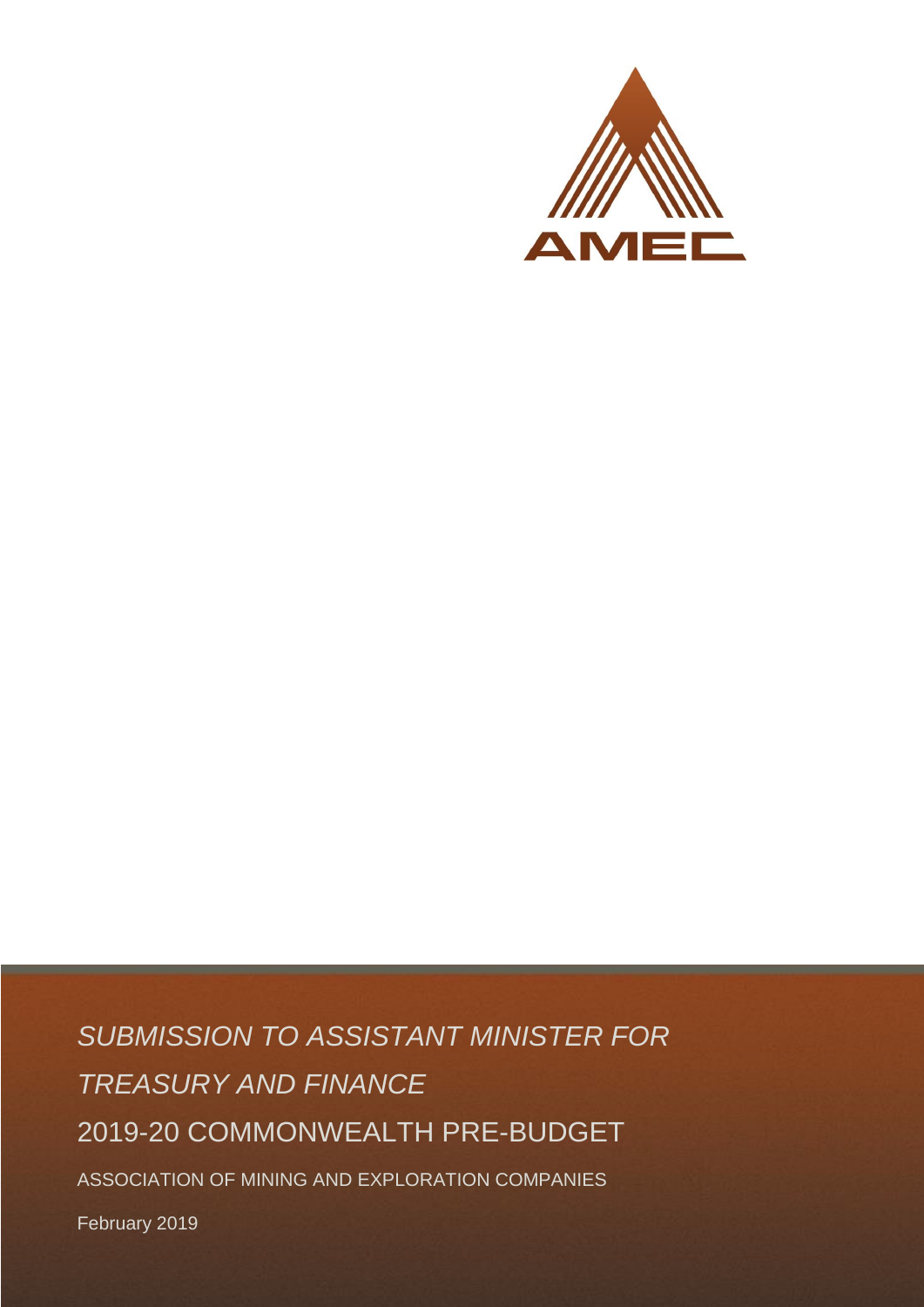

*SUBMISSION TO ASSISTANT MINISTER FOR TREASURY AND FINANCE* 2019-20 COMMONWEALTH PRE-BUDGET ASSOCIATION OF MINING AND EXPLORATION COMPANIES

February 2019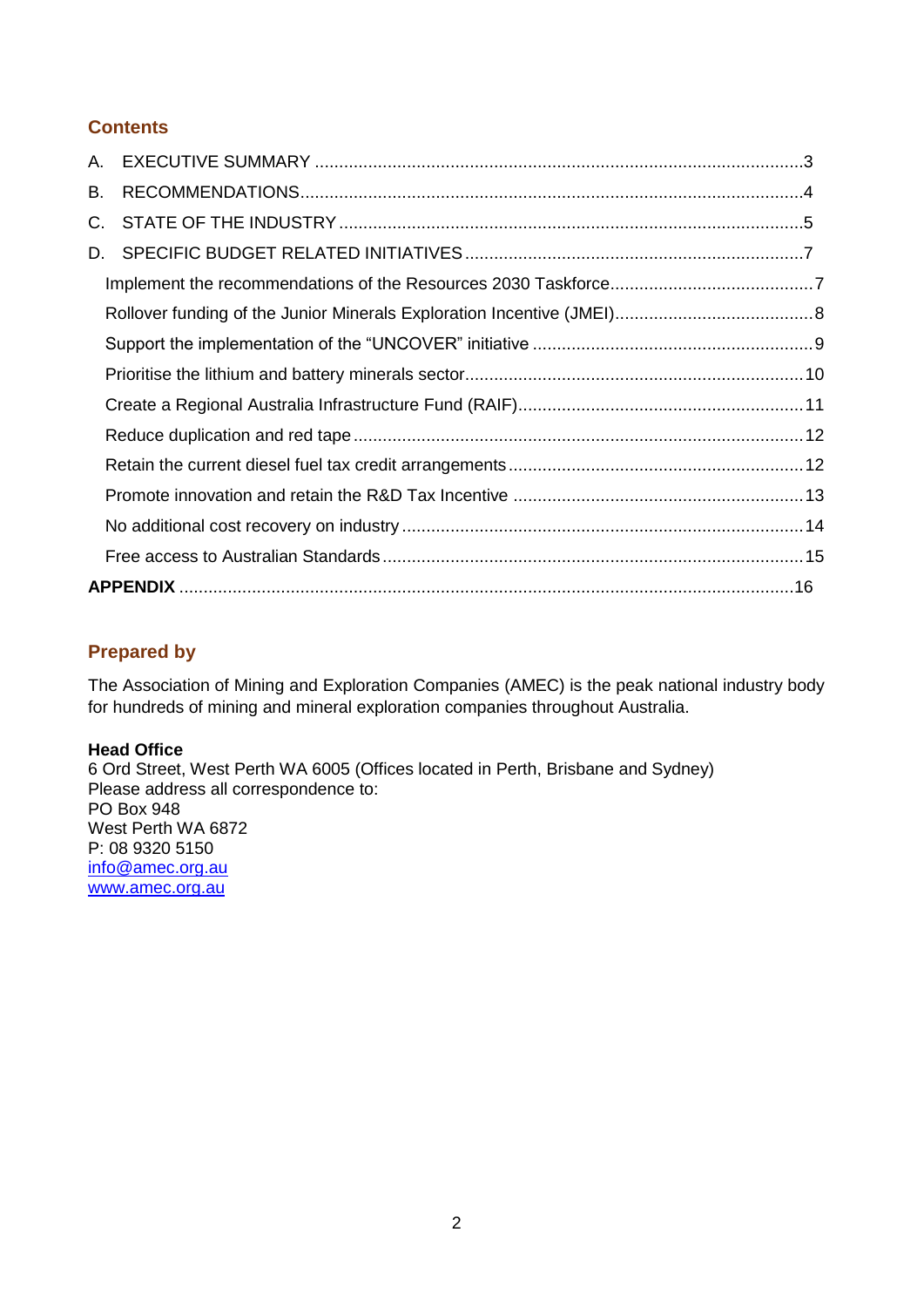## **Contents**

| А. |  |  |
|----|--|--|
| В. |  |  |
| C. |  |  |
| D. |  |  |
|    |  |  |
|    |  |  |
|    |  |  |
|    |  |  |
|    |  |  |
|    |  |  |
|    |  |  |
|    |  |  |
|    |  |  |
|    |  |  |
|    |  |  |

## **Prepared by**

The Association of Mining and Exploration Companies (AMEC) is the peak national industry body for hundreds of mining and mineral exploration companies throughout Australia.

### **Head Office**

6 Ord Street, West Perth WA 6005 (Offices located in Perth, Brisbane and Sydney) Please address all correspondence to: PO Box 948 West Perth WA 6872 P: 08 9320 5150 [info@amec.org.au](mailto:info@amec.org.au) [www.amec.org.au](http://www.amec.org.au/)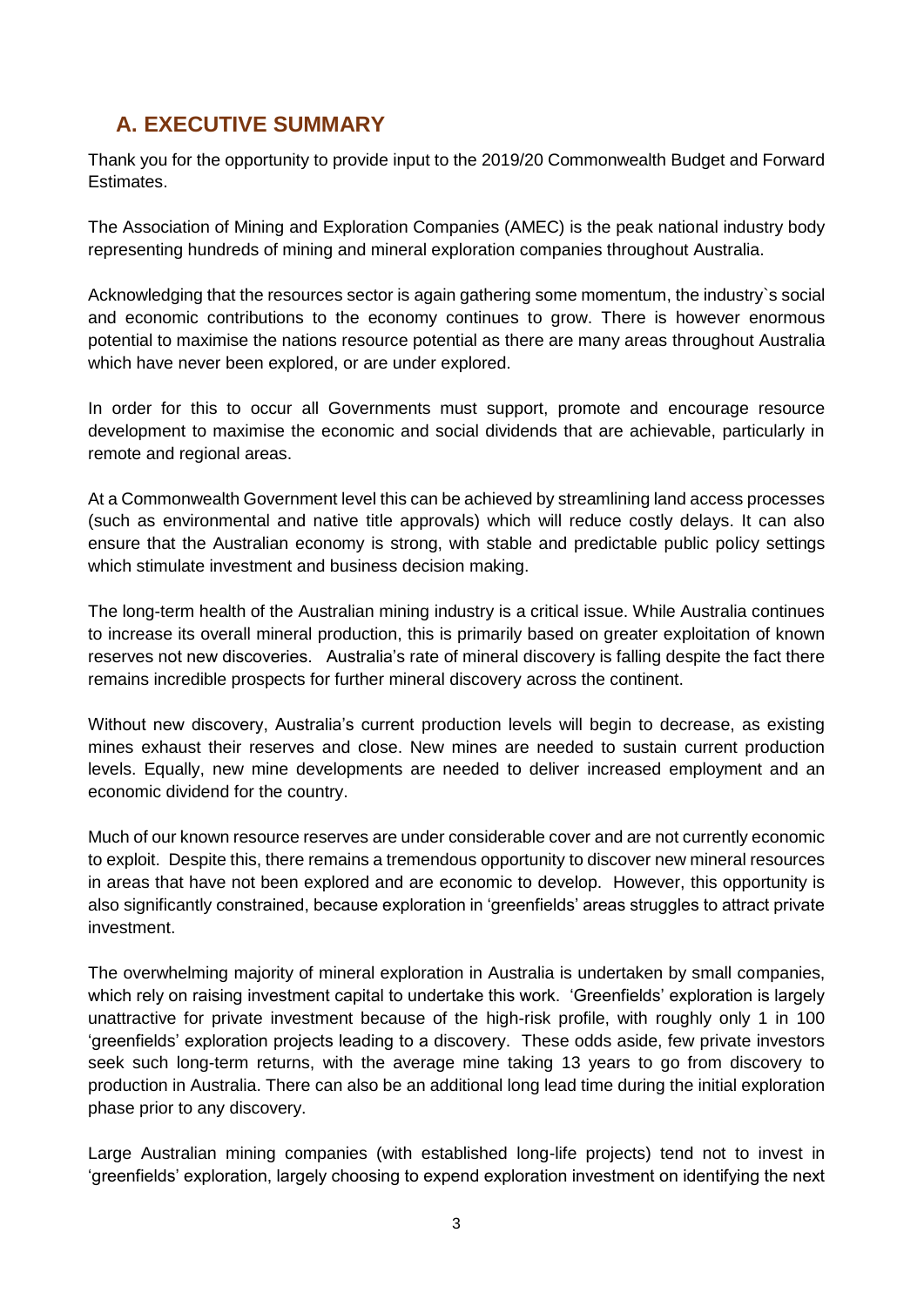# <span id="page-2-0"></span>**A. EXECUTIVE SUMMARY**

Thank you for the opportunity to provide input to the 2019/20 Commonwealth Budget and Forward Estimates.

The Association of Mining and Exploration Companies (AMEC) is the peak national industry body representing hundreds of mining and mineral exploration companies throughout Australia.

Acknowledging that the resources sector is again gathering some momentum, the industry`s social and economic contributions to the economy continues to grow. There is however enormous potential to maximise the nations resource potential as there are many areas throughout Australia which have never been explored, or are under explored.

In order for this to occur all Governments must support, promote and encourage resource development to maximise the economic and social dividends that are achievable, particularly in remote and regional areas.

At a Commonwealth Government level this can be achieved by streamlining land access processes (such as environmental and native title approvals) which will reduce costly delays. It can also ensure that the Australian economy is strong, with stable and predictable public policy settings which stimulate investment and business decision making.

The long-term health of the Australian mining industry is a critical issue. While Australia continues to increase its overall mineral production, this is primarily based on greater exploitation of known reserves not new discoveries. Australia's rate of mineral discovery is falling despite the fact there remains incredible prospects for further mineral discovery across the continent.

Without new discovery, Australia's current production levels will begin to decrease, as existing mines exhaust their reserves and close. New mines are needed to sustain current production levels. Equally, new mine developments are needed to deliver increased employment and an economic dividend for the country.

Much of our known resource reserves are under considerable cover and are not currently economic to exploit. Despite this, there remains a tremendous opportunity to discover new mineral resources in areas that have not been explored and are economic to develop. However, this opportunity is also significantly constrained, because exploration in 'greenfields' areas struggles to attract private investment.

The overwhelming majority of mineral exploration in Australia is undertaken by small companies, which rely on raising investment capital to undertake this work. 'Greenfields' exploration is largely unattractive for private investment because of the high-risk profile, with roughly only 1 in 100 'greenfields' exploration projects leading to a discovery. These odds aside, few private investors seek such long-term returns, with the average mine taking 13 years to go from discovery to production in Australia. There can also be an additional long lead time during the initial exploration phase prior to any discovery.

Large Australian mining companies (with established long-life projects) tend not to invest in 'greenfields' exploration, largely choosing to expend exploration investment on identifying the next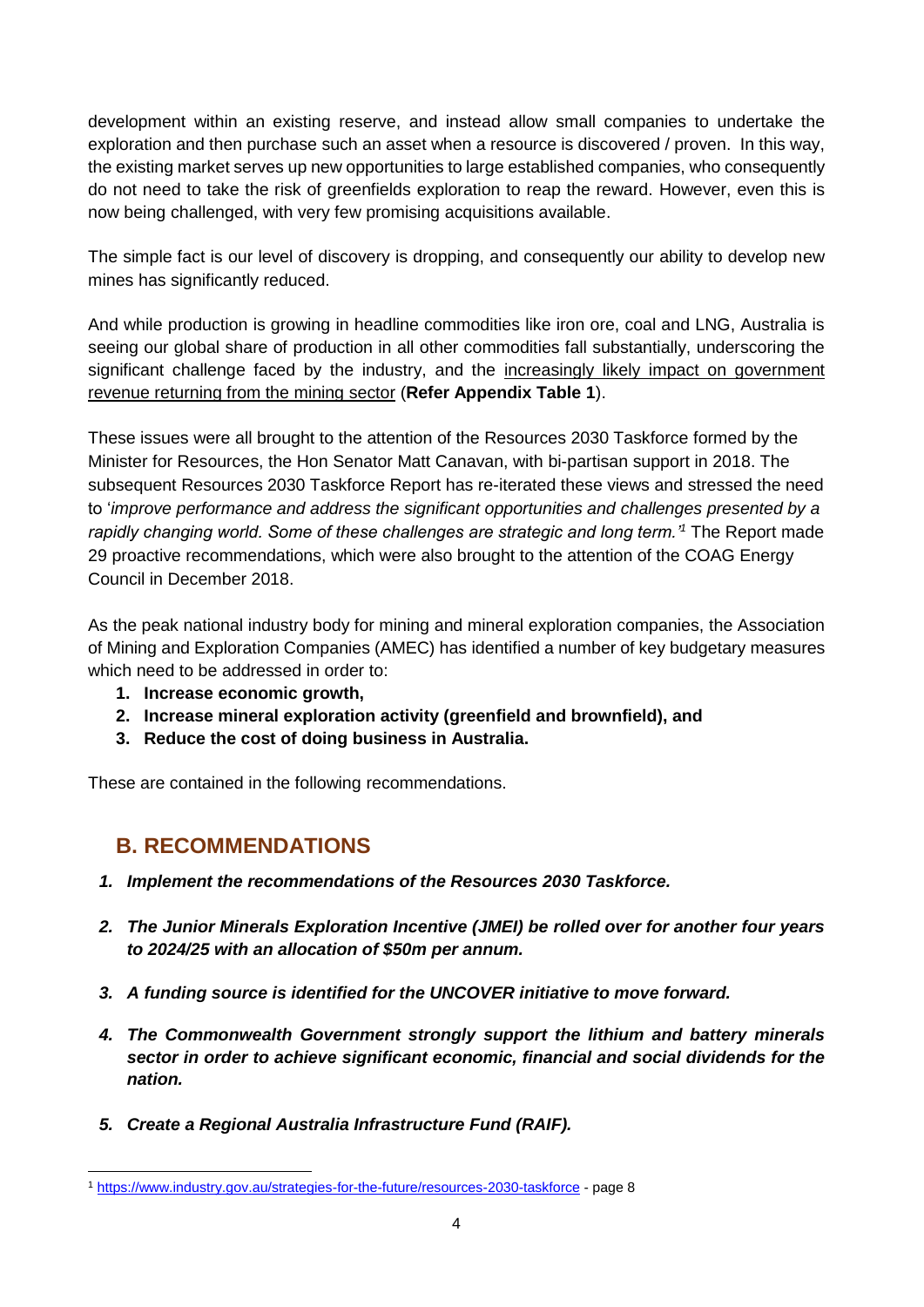development within an existing reserve, and instead allow small companies to undertake the exploration and then purchase such an asset when a resource is discovered / proven. In this way, the existing market serves up new opportunities to large established companies, who consequently do not need to take the risk of greenfields exploration to reap the reward. However, even this is now being challenged, with very few promising acquisitions available.

The simple fact is our level of discovery is dropping, and consequently our ability to develop new mines has significantly reduced.

And while production is growing in headline commodities like iron ore, coal and LNG, Australia is seeing our global share of production in all other commodities fall substantially, underscoring the significant challenge faced by the industry, and the increasingly likely impact on government revenue returning from the mining sector (**Refer Appendix Table 1**).

These issues were all brought to the attention of the Resources 2030 Taskforce formed by the Minister for Resources, the Hon Senator Matt Canavan, with bi-partisan support in 2018. The subsequent Resources 2030 Taskforce Report has re-iterated these views and stressed the need to '*improve performance and address the significant opportunities and challenges presented by a rapidly changing world. Some of these challenges are strategic and long term.'<sup>1</sup>* The Report made 29 proactive recommendations, which were also brought to the attention of the COAG Energy Council in December 2018.

As the peak national industry body for mining and mineral exploration companies, the Association of Mining and Exploration Companies (AMEC) has identified a number of key budgetary measures which need to be addressed in order to:

- **1. Increase economic growth,**
- **2. Increase mineral exploration activity (greenfield and brownfield), and**
- **3. Reduce the cost of doing business in Australia.**

<span id="page-3-0"></span>These are contained in the following recommendations.

## **B. RECOMMENDATIONS**

- *1. Implement the recommendations of the Resources 2030 Taskforce.*
- *2. The Junior Minerals Exploration Incentive (JMEI) be rolled over for another four years to 2024/25 with an allocation of \$50m per annum.*
- *3. A funding source is identified for the UNCOVER initiative to move forward.*
- *4. The Commonwealth Government strongly support the lithium and battery minerals sector in order to achieve significant economic, financial and social dividends for the nation.*
- *5. Create a Regional Australia Infrastructure Fund (RAIF).*

<sup>1</sup> <https://www.industry.gov.au/strategies-for-the-future/resources-2030-taskforce> - page 8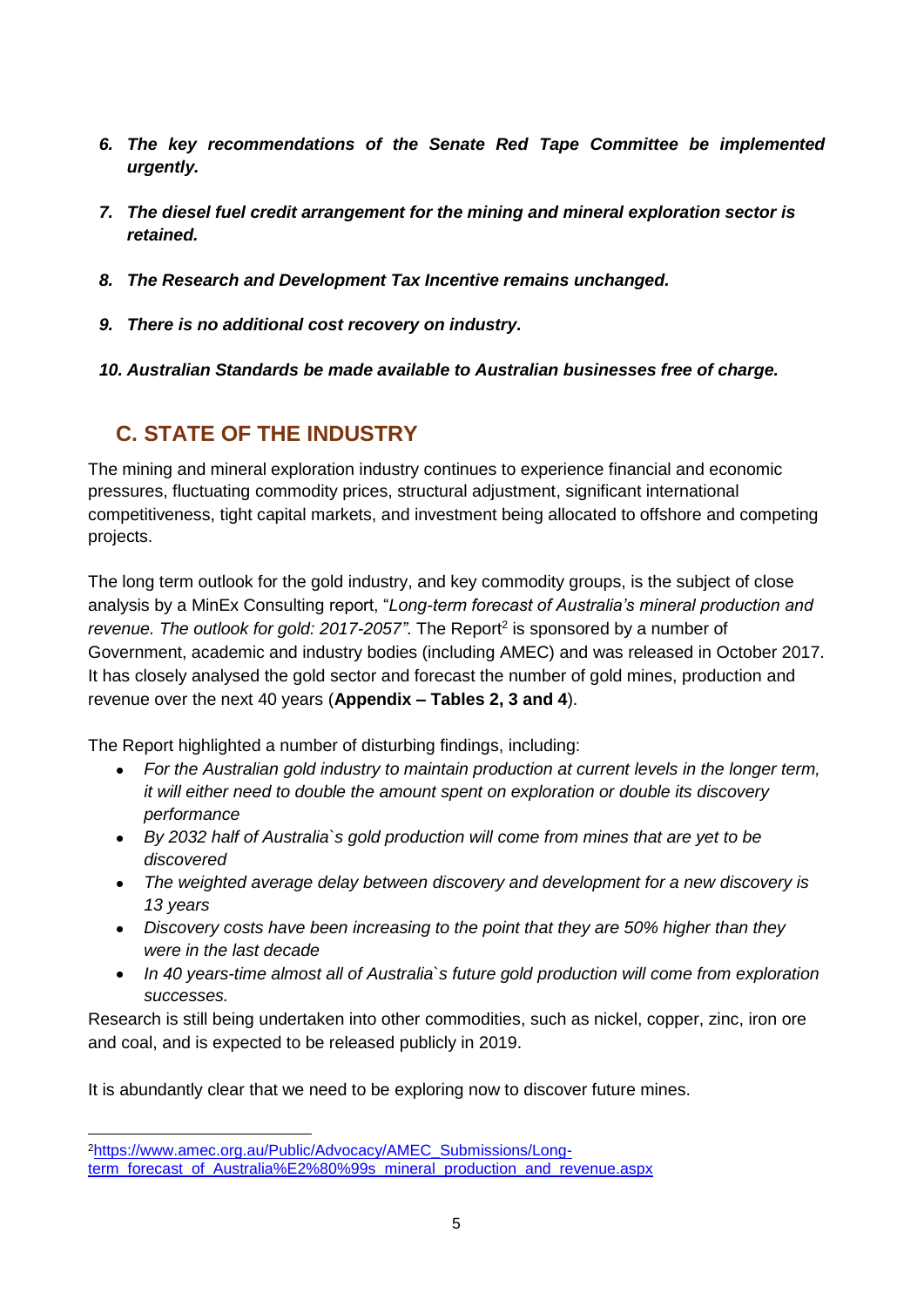- *6. The key recommendations of the Senate Red Tape Committee be implemented urgently.*
- *7. The diesel fuel credit arrangement for the mining and mineral exploration sector is retained.*
- *8. The Research and Development Tax Incentive remains unchanged.*
- *9. There is no additional cost recovery on industry.*

<span id="page-4-0"></span>*10. Australian Standards be made available to Australian businesses free of charge.*

# **C. STATE OF THE INDUSTRY**

The mining and mineral exploration industry continues to experience financial and economic pressures, fluctuating commodity prices, structural adjustment, significant international competitiveness, tight capital markets, and investment being allocated to offshore and competing projects.

The long term outlook for the gold industry, and key commodity groups, is the subject of close analysis by a MinEx Consulting report, "*Long-term forecast of Australia's mineral production and*  revenue. The outlook for gold: 2017-2057". The Report<sup>2</sup> is sponsored by a number of Government, academic and industry bodies (including AMEC) and was released in October 2017. It has closely analysed the gold sector and forecast the number of gold mines, production and revenue over the next 40 years (**Appendix – Tables 2, 3 and 4**).

The Report highlighted a number of disturbing findings, including:

- *For the Australian gold industry to maintain production at current levels in the longer term, it will either need to double the amount spent on exploration or double its discovery performance*
- *By 2032 half of Australia`s gold production will come from mines that are yet to be discovered*
- *The weighted average delay between discovery and development for a new discovery is 13 years*
- *Discovery costs have been increasing to the point that they are 50% higher than they were in the last decade*
- *In 40 years-time almost all of Australia`s future gold production will come from exploration successes.*

Research is still being undertaken into other commodities, such as nickel, copper, zinc, iron ore and coal, and is expected to be released publicly in 2019.

It is abundantly clear that we need to be exploring now to discover future mines.

 $\overline{a}$ 

<sup>&</sup>lt;sup>2</sup>[https://www.amec.org.au/Public/Advocacy/AMEC\\_Submissions/Long](https://www.amec.org.au/Public/Advocacy/AMEC_Submissions/Long-term_forecast_of_Australia%E2%80%99s_mineral_production_and_revenue.aspx)[term\\_forecast\\_of\\_Australia%E2%80%99s\\_mineral\\_production\\_and\\_revenue.aspx](https://www.amec.org.au/Public/Advocacy/AMEC_Submissions/Long-term_forecast_of_Australia%E2%80%99s_mineral_production_and_revenue.aspx)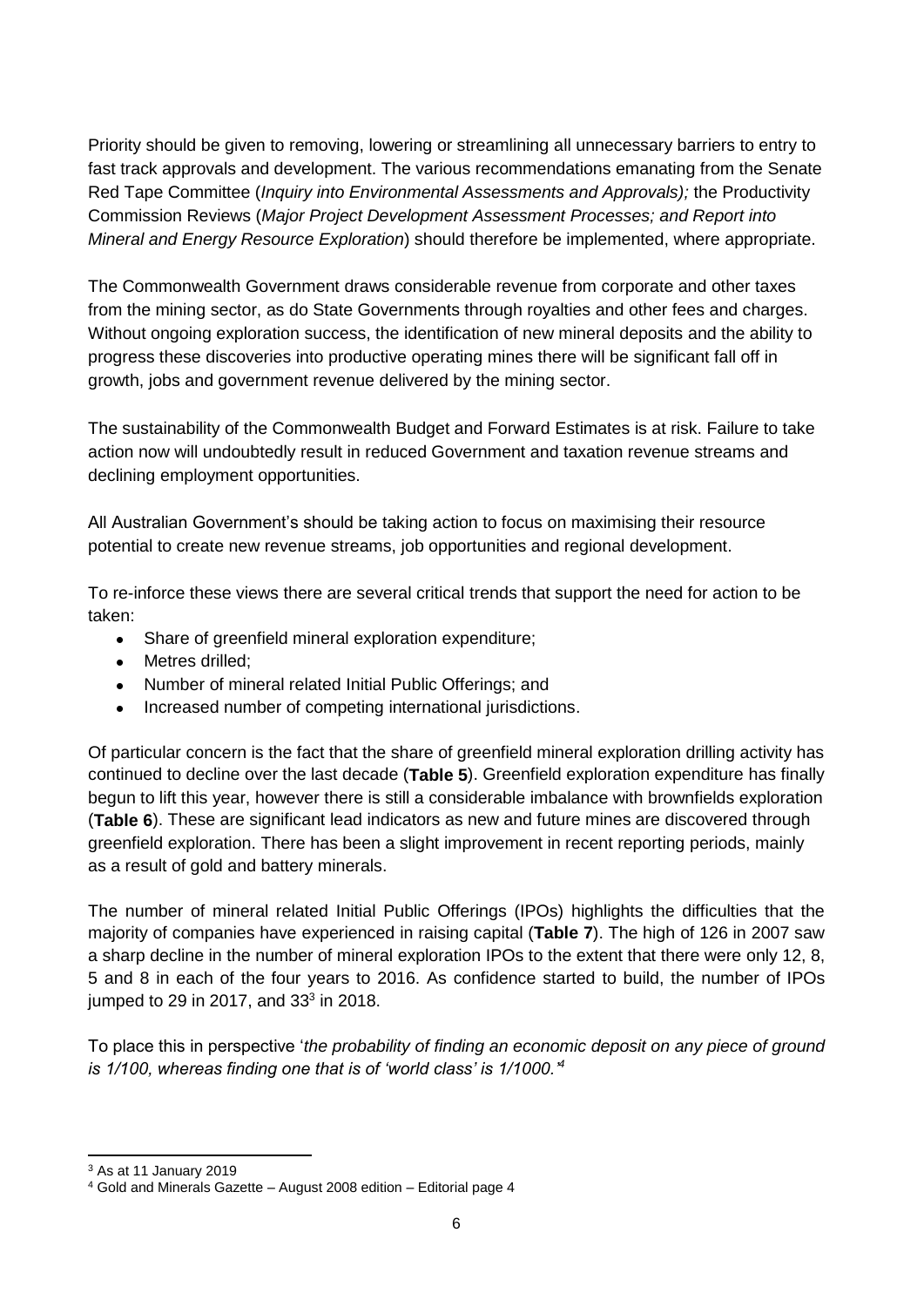Priority should be given to removing, lowering or streamlining all unnecessary barriers to entry to fast track approvals and development. The various recommendations emanating from the Senate Red Tape Committee (*Inquiry into Environmental Assessments and Approvals);* the Productivity Commission Reviews (*Major Project Development Assessment Processes; and Report into Mineral and Energy Resource Exploration*) should therefore be implemented, where appropriate.

The Commonwealth Government draws considerable revenue from corporate and other taxes from the mining sector, as do State Governments through royalties and other fees and charges. Without ongoing exploration success, the identification of new mineral deposits and the ability to progress these discoveries into productive operating mines there will be significant fall off in growth, jobs and government revenue delivered by the mining sector.

The sustainability of the Commonwealth Budget and Forward Estimates is at risk. Failure to take action now will undoubtedly result in reduced Government and taxation revenue streams and declining employment opportunities.

All Australian Government's should be taking action to focus on maximising their resource potential to create new revenue streams, job opportunities and regional development.

To re-inforce these views there are several critical trends that support the need for action to be taken:

- Share of greenfield mineral exploration expenditure;
- Metres drilled:
- Number of mineral related Initial Public Offerings; and
- Increased number of competing international jurisdictions.

Of particular concern is the fact that the share of greenfield mineral exploration drilling activity has continued to decline over the last decade (**Table 5**). Greenfield exploration expenditure has finally begun to lift this year, however there is still a considerable imbalance with brownfields exploration (**Table 6**). These are significant lead indicators as new and future mines are discovered through greenfield exploration. There has been a slight improvement in recent reporting periods, mainly as a result of gold and battery minerals.

The number of mineral related Initial Public Offerings (IPOs) highlights the difficulties that the majority of companies have experienced in raising capital (**Table 7**). The high of 126 in 2007 saw a sharp decline in the number of mineral exploration IPOs to the extent that there were only 12, 8, 5 and 8 in each of the four years to 2016. As confidence started to build, the number of IPOs jumped to 29 in 2017, and 33 $3$  in 2018.

To place this in perspective '*the probability of finding an economic deposit on any piece of ground is 1/100, whereas finding one that is of 'world class' is 1/1000.'<sup>4</sup>*

<sup>3</sup> As at 11 January 2019

<sup>4</sup> Gold and Minerals Gazette – August 2008 edition – Editorial page 4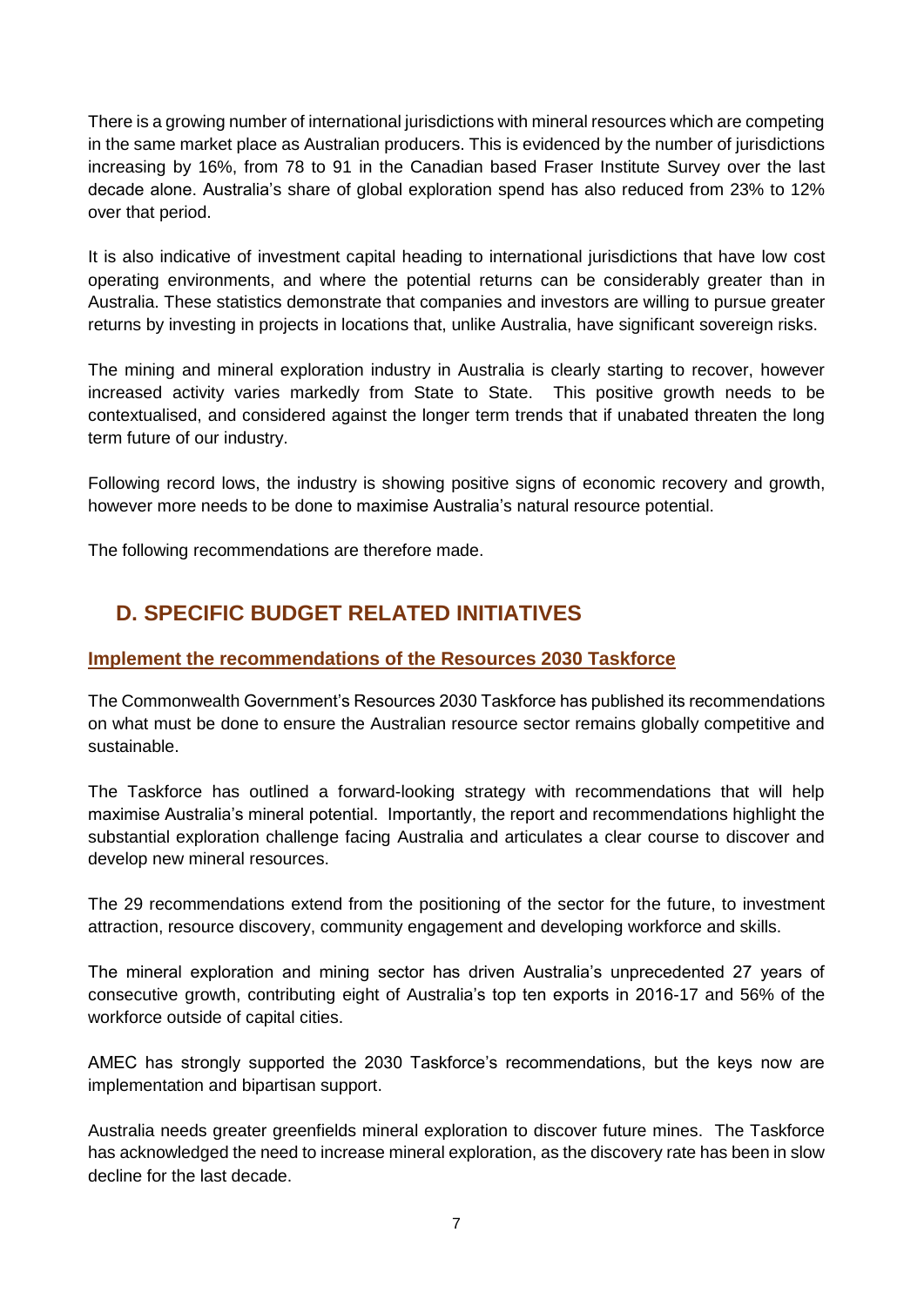There is a growing number of international jurisdictions with mineral resources which are competing in the same market place as Australian producers. This is evidenced by the number of jurisdictions increasing by 16%, from 78 to 91 in the Canadian based Fraser Institute Survey over the last decade alone. Australia's share of global exploration spend has also reduced from 23% to 12% over that period.

It is also indicative of investment capital heading to international jurisdictions that have low cost operating environments, and where the potential returns can be considerably greater than in Australia. These statistics demonstrate that companies and investors are willing to pursue greater returns by investing in projects in locations that, unlike Australia, have significant sovereign risks.

The mining and mineral exploration industry in Australia is clearly starting to recover, however increased activity varies markedly from State to State. This positive growth needs to be contextualised, and considered against the longer term trends that if unabated threaten the long term future of our industry.

Following record lows, the industry is showing positive signs of economic recovery and growth, however more needs to be done to maximise Australia's natural resource potential.

<span id="page-6-0"></span>The following recommendations are therefore made.

# **D. SPECIFIC BUDGET RELATED INITIATIVES**

## <span id="page-6-1"></span>**Implement the recommendations of the Resources 2030 Taskforce**

The Commonwealth Government's Resources 2030 Taskforce has published its recommendations on what must be done to ensure the Australian resource sector remains globally competitive and sustainable.

The Taskforce has outlined a forward-looking strategy with recommendations that will help maximise Australia's mineral potential. Importantly, the report and recommendations highlight the substantial exploration challenge facing Australia and articulates a clear course to discover and develop new mineral resources.

The 29 recommendations extend from the positioning of the sector for the future, to investment attraction, resource discovery, community engagement and developing workforce and skills.

The mineral exploration and mining sector has driven Australia's unprecedented 27 years of consecutive growth, contributing eight of Australia's top ten exports in 2016-17 and 56% of the workforce outside of capital cities.

AMEC has strongly supported the 2030 Taskforce's recommendations, but the keys now are implementation and bipartisan support.

Australia needs greater greenfields mineral exploration to discover future mines. The Taskforce has acknowledged the need to increase mineral exploration, as the discovery rate has been in slow decline for the last decade.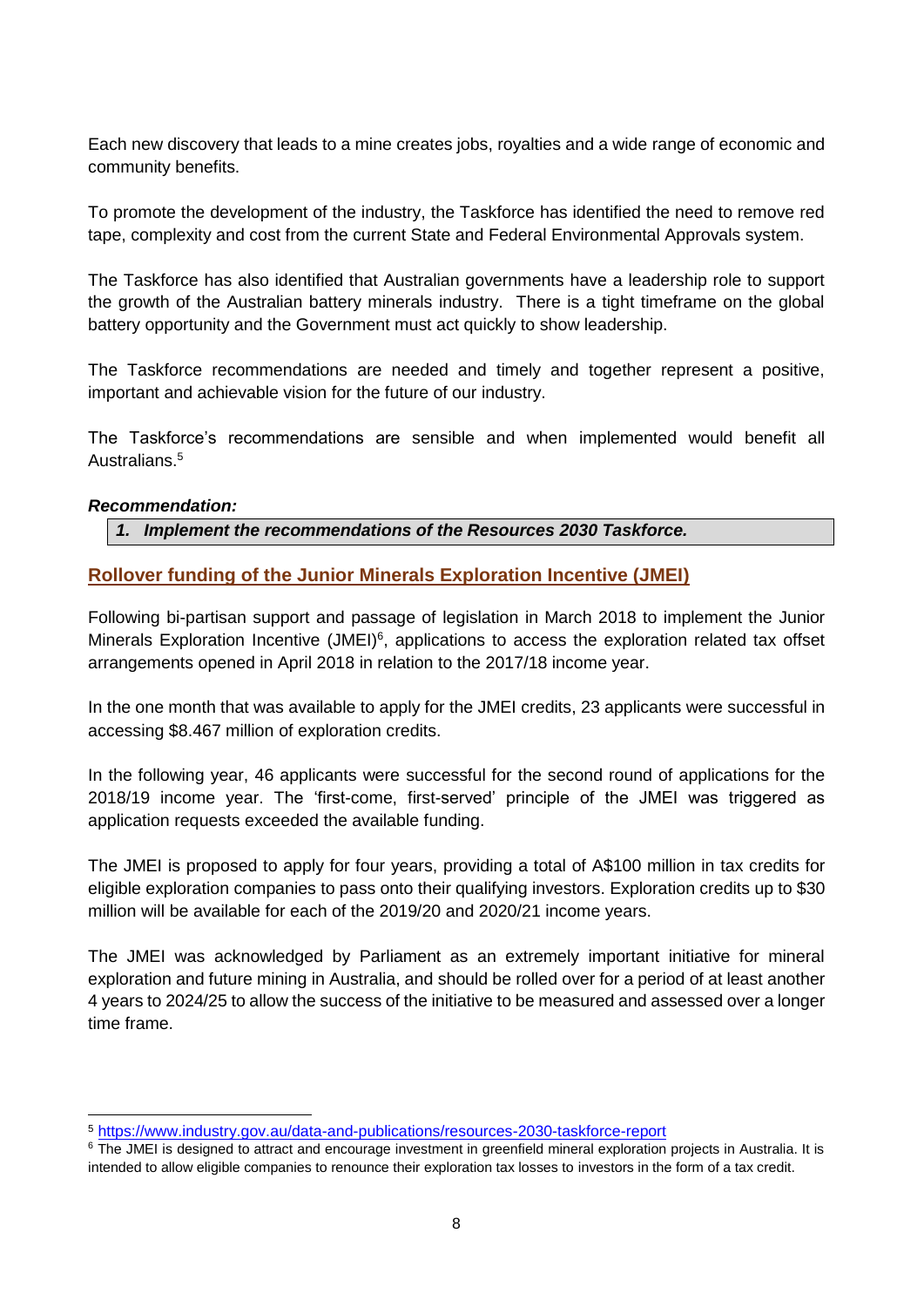Each new discovery that leads to a mine creates jobs, royalties and a wide range of economic and community benefits.

To promote the development of the industry, the Taskforce has identified the need to remove red tape, complexity and cost from the current State and Federal Environmental Approvals system.

The Taskforce has also identified that Australian governments have a leadership role to support the growth of the Australian battery minerals industry. There is a tight timeframe on the global battery opportunity and the Government must act quickly to show leadership.

The Taskforce recommendations are needed and timely and together represent a positive, important and achievable vision for the future of our industry.

The Taskforce's recommendations are sensible and when implemented would benefit all Australians.<sup>5</sup>

#### *Recommendation:*

*1. Implement the recommendations of the Resources 2030 Taskforce.*

### <span id="page-7-0"></span>**Rollover funding of the Junior Minerals Exploration Incentive (JMEI)**

Following bi-partisan support and passage of legislation in March 2018 to implement the Junior Minerals Exploration Incentive (JMEI)<sup>6</sup>, applications to access the exploration related tax offset arrangements opened in April 2018 in relation to the 2017/18 income year.

In the one month that was available to apply for the JMEI credits, 23 applicants were successful in accessing \$8.467 million of exploration credits.

In the following year, 46 applicants were successful for the second round of applications for the 2018/19 income year. The 'first-come, first-served' principle of the JMEI was triggered as application requests exceeded the available funding.

The JMEI is proposed to apply for four years, providing a total of A\$100 million in tax credits for eligible exploration companies to pass onto their qualifying investors. Exploration credits up to \$30 million will be available for each of the 2019/20 and 2020/21 income years.

The JMEI was acknowledged by Parliament as an extremely important initiative for mineral exploration and future mining in Australia, and should be rolled over for a period of at least another 4 years to 2024/25 to allow the success of the initiative to be measured and assessed over a longer time frame.

 $\overline{a}$ <sup>5</sup> <https://www.industry.gov.au/data-and-publications/resources-2030-taskforce-report>

<sup>&</sup>lt;sup>6</sup> The JMEI is designed to attract and encourage investment in greenfield mineral exploration projects in Australia. It is intended to allow eligible companies to renounce their exploration tax losses to investors in the form of a tax credit.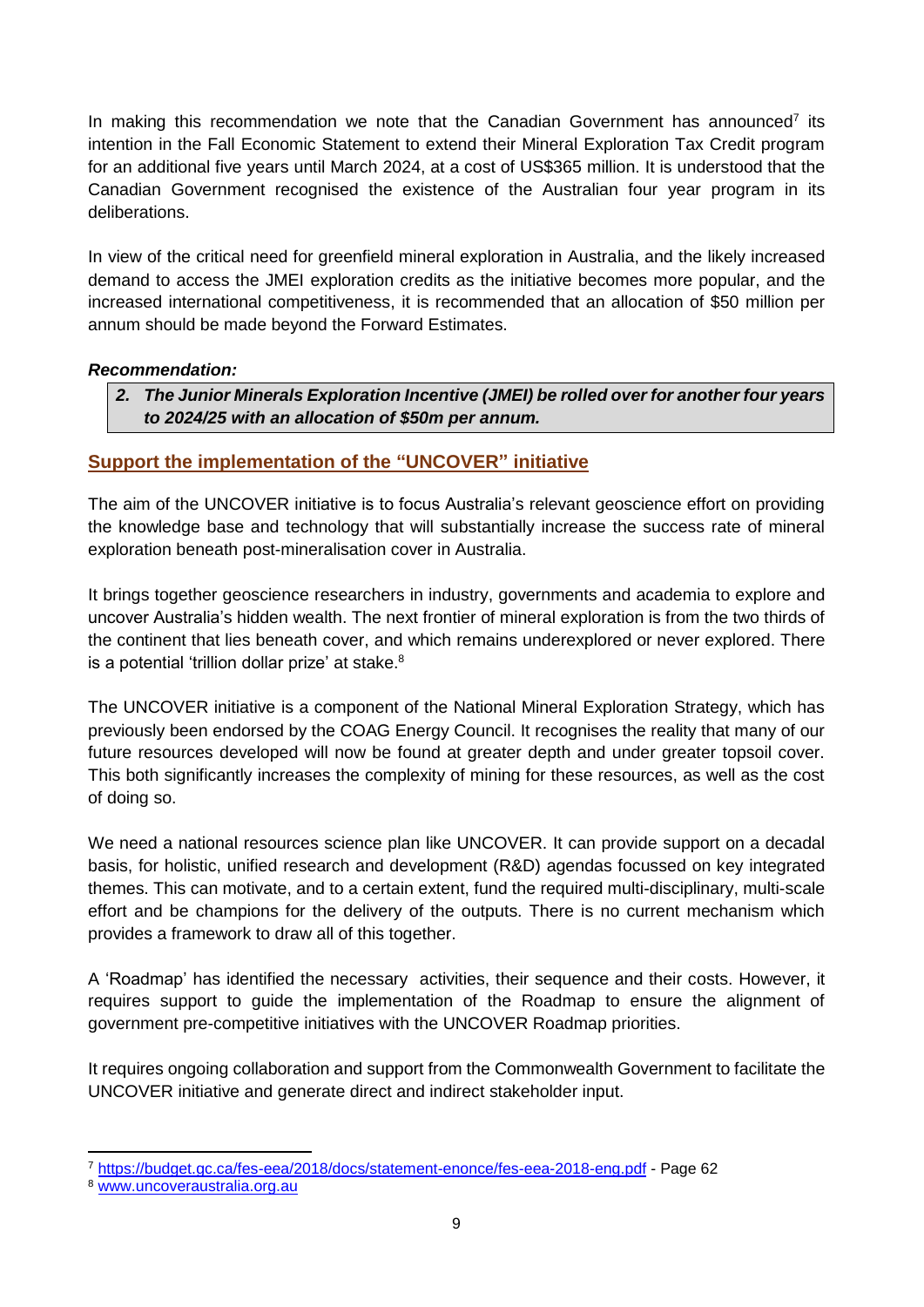In making this recommendation we note that the Canadian Government has announced<sup>7</sup> its intention in the Fall Economic Statement to extend their Mineral Exploration Tax Credit program for an additional five years until March 2024, at a cost of US\$365 million. It is understood that the Canadian Government recognised the existence of the Australian four year program in its deliberations.

In view of the critical need for greenfield mineral exploration in Australia, and the likely increased demand to access the JMEI exploration credits as the initiative becomes more popular, and the increased international competitiveness, it is recommended that an allocation of \$50 million per annum should be made beyond the Forward Estimates.

#### *Recommendation:*

*2. The Junior Minerals Exploration Incentive (JMEI) be rolled over for another four years to 2024/25 with an allocation of \$50m per annum.*

### <span id="page-8-0"></span>**Support the implementation of the "UNCOVER" initiative**

The aim of the UNCOVER initiative is to focus Australia's relevant geoscience effort on providing the knowledge base and technology that will substantially increase the success rate of mineral exploration beneath post-mineralisation cover in Australia.

It brings together geoscience researchers in industry, governments and academia to explore and uncover Australia's hidden wealth. The next frontier of mineral exploration is from the two thirds of the continent that lies beneath cover, and which remains underexplored or never explored. There is a potential 'trillion dollar prize' at stake. $8$ 

The UNCOVER initiative is a component of the National Mineral Exploration Strategy, which has previously been endorsed by the COAG Energy Council. It recognises the reality that many of our future resources developed will now be found at greater depth and under greater topsoil cover. This both significantly increases the complexity of mining for these resources, as well as the cost of doing so.

We need a national resources science plan like UNCOVER. It can provide support on a decadal basis, for holistic, unified research and development (R&D) agendas focussed on key integrated themes. This can motivate, and to a certain extent, fund the required multi-disciplinary, multi-scale effort and be champions for the delivery of the outputs. There is no current mechanism which provides a framework to draw all of this together.

A 'Roadmap' has identified the necessary activities, their sequence and their costs. However, it requires support to guide the implementation of the Roadmap to ensure the alignment of government pre-competitive initiatives with the UNCOVER Roadmap priorities.

It requires ongoing collaboration and support from the Commonwealth Government to facilitate the UNCOVER initiative and generate direct and indirect stakeholder input.

 <sup>7</sup> <https://budget.gc.ca/fes-eea/2018/docs/statement-enonce/fes-eea-2018-eng.pdf> - Page 62

<sup>8</sup> [www.uncoveraustralia.org.au](http://www.uncoveraustralia.org.au/)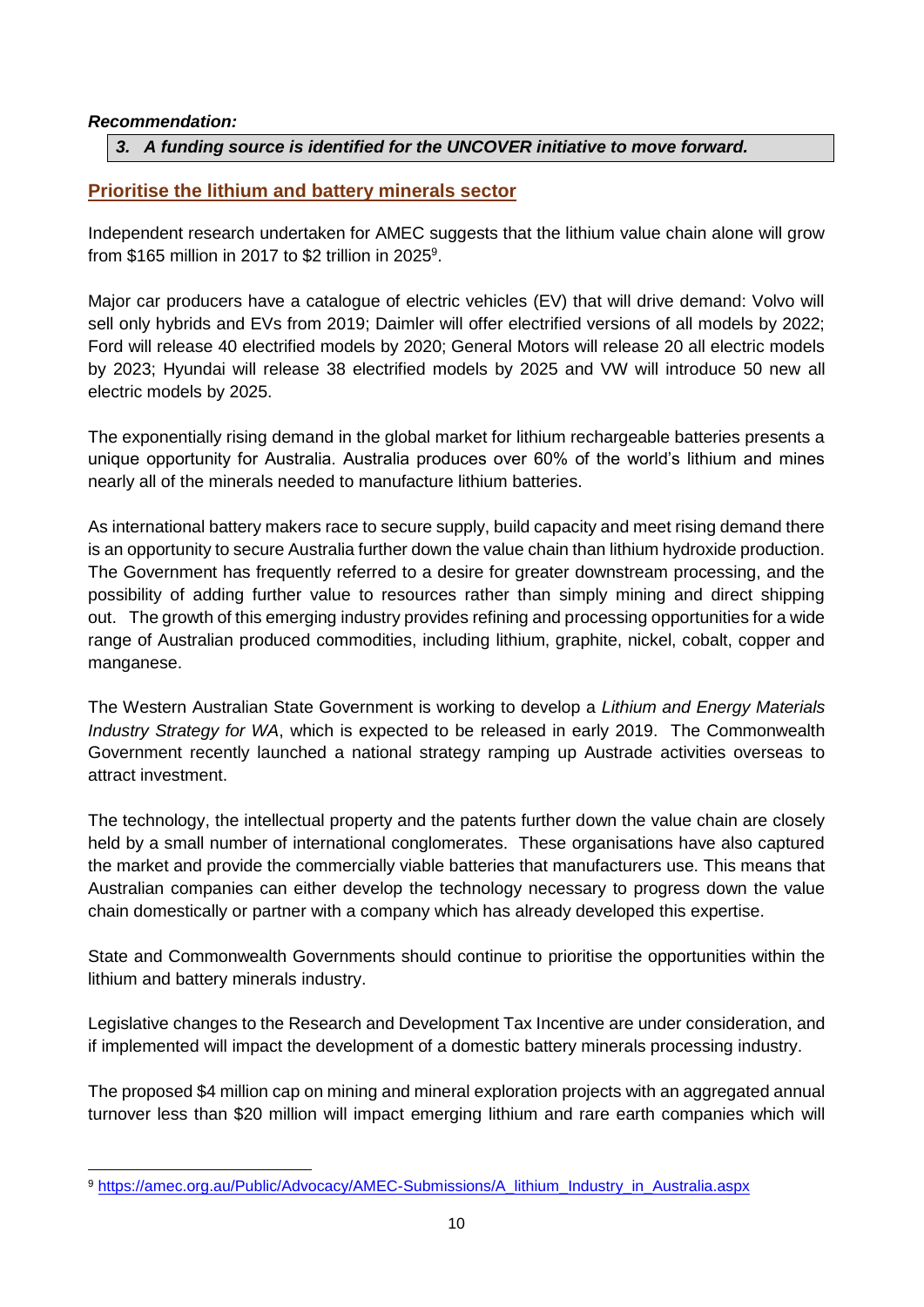#### *Recommendation:*

#### *3. A funding source is identified for the UNCOVER initiative to move forward.*

#### <span id="page-9-0"></span>**Prioritise the lithium and battery minerals sector**

Independent research undertaken for AMEC suggests that the lithium value chain alone will grow from \$165 million in 2017 to \$2 trillion in 2025<sup>9</sup>.

Major car producers have a catalogue of electric vehicles (EV) that will drive demand: Volvo will sell only hybrids and EVs from 2019; Daimler will offer electrified versions of all models by 2022; Ford will release 40 electrified models by 2020; General Motors will release 20 all electric models by 2023; Hyundai will release 38 electrified models by 2025 and VW will introduce 50 new all electric models by 2025.

The exponentially rising demand in the global market for lithium rechargeable batteries presents a unique opportunity for Australia. Australia produces over 60% of the world's lithium and mines nearly all of the minerals needed to manufacture lithium batteries.

As international battery makers race to secure supply, build capacity and meet rising demand there is an opportunity to secure Australia further down the value chain than lithium hydroxide production. The Government has frequently referred to a desire for greater downstream processing, and the possibility of adding further value to resources rather than simply mining and direct shipping out. The growth of this emerging industry provides refining and processing opportunities for a wide range of Australian produced commodities, including lithium, graphite, nickel, cobalt, copper and manganese.

The Western Australian State Government is working to develop a *Lithium and Energy Materials Industry Strategy for WA*, which is expected to be released in early 2019. The Commonwealth Government recently launched a national strategy ramping up Austrade activities overseas to attract investment.

The technology, the intellectual property and the patents further down the value chain are closely held by a small number of international conglomerates. These organisations have also captured the market and provide the commercially viable batteries that manufacturers use. This means that Australian companies can either develop the technology necessary to progress down the value chain domestically or partner with a company which has already developed this expertise.

State and Commonwealth Governments should continue to prioritise the opportunities within the lithium and battery minerals industry.

Legislative changes to the Research and Development Tax Incentive are under consideration, and if implemented will impact the development of a domestic battery minerals processing industry.

The proposed \$4 million cap on mining and mineral exploration projects with an aggregated annual turnover less than \$20 million will impact emerging lithium and rare earth companies which will

<sup>9</sup> [https://amec.org.au/Public/Advocacy/AMEC-Submissions/A\\_lithium\\_Industry\\_in\\_Australia.aspx](https://amec.org.au/Public/Advocacy/AMEC-Submissions/A_lithium_Industry_in_Australia.aspx)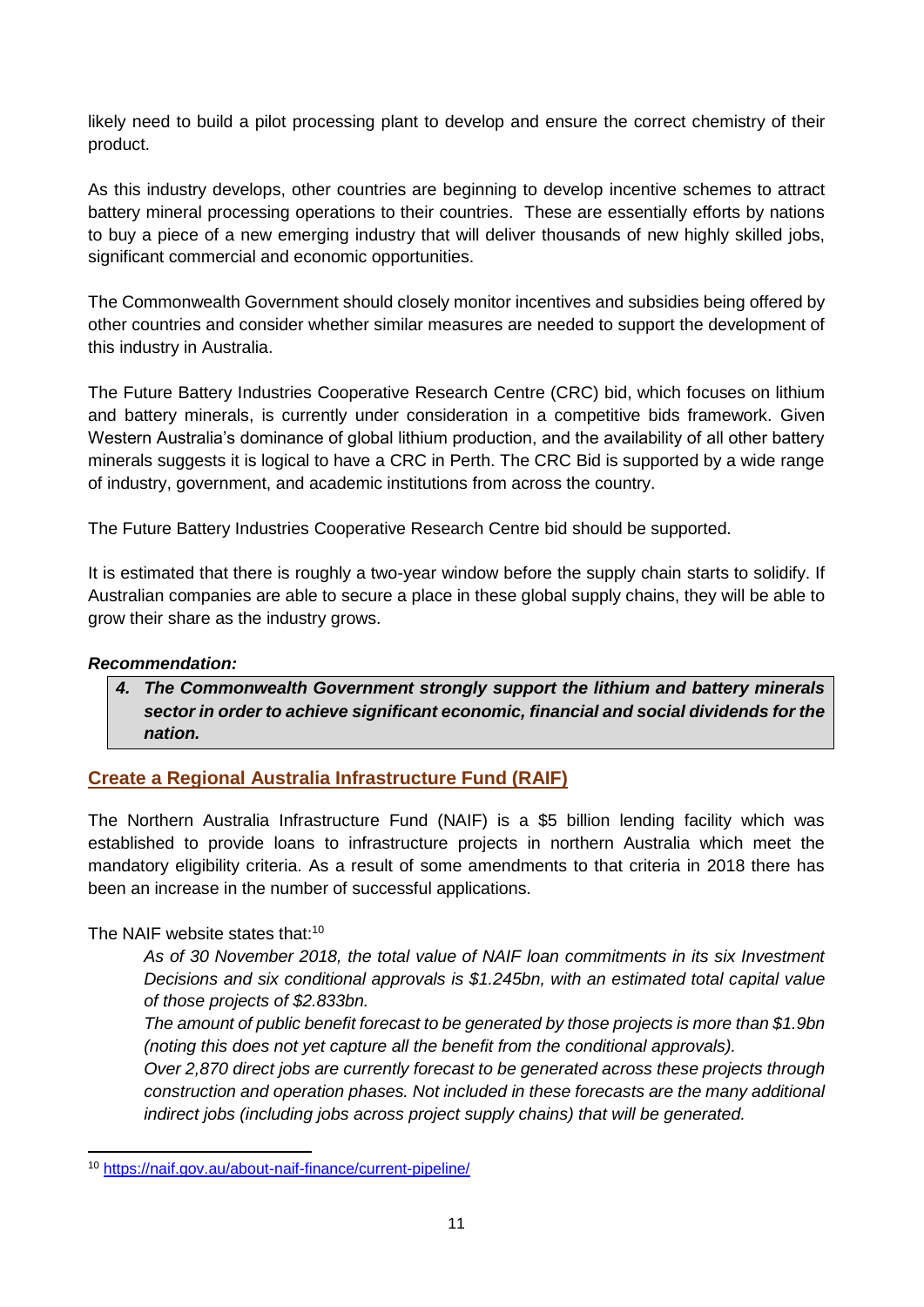likely need to build a pilot processing plant to develop and ensure the correct chemistry of their product.

As this industry develops, other countries are beginning to develop incentive schemes to attract battery mineral processing operations to their countries. These are essentially efforts by nations to buy a piece of a new emerging industry that will deliver thousands of new highly skilled jobs, significant commercial and economic opportunities.

The Commonwealth Government should closely monitor incentives and subsidies being offered by other countries and consider whether similar measures are needed to support the development of this industry in Australia.

The Future Battery Industries Cooperative Research Centre (CRC) bid, which focuses on lithium and battery minerals, is currently under consideration in a competitive bids framework. Given Western Australia's dominance of global lithium production, and the availability of all other battery minerals suggests it is logical to have a CRC in Perth. The CRC Bid is supported by a wide range of industry, government, and academic institutions from across the country.

The Future Battery Industries Cooperative Research Centre bid should be supported.

It is estimated that there is roughly a two-year window before the supply chain starts to solidify. If Australian companies are able to secure a place in these global supply chains, they will be able to grow their share as the industry grows.

### *Recommendation:*

*4. The Commonwealth Government strongly support the lithium and battery minerals sector in order to achieve significant economic, financial and social dividends for the nation.*

### <span id="page-10-0"></span>**Create a Regional Australia Infrastructure Fund (RAIF)**

The Northern Australia Infrastructure Fund (NAIF) is a \$5 billion lending facility which was established to provide loans to infrastructure projects in northern Australia which meet the mandatory eligibility criteria. As a result of some amendments to that criteria in 2018 there has been an increase in the number of successful applications.

### The NAIF website states that:<sup>10</sup>

*As of 30 November 2018, the total value of NAIF loan commitments in its six Investment Decisions and six conditional approvals is \$1.245bn, with an estimated total capital value of those projects of \$2.833bn.*

*The amount of public benefit forecast to be generated by those projects is more than \$1.9bn (noting this does not yet capture all the benefit from the conditional approvals).*

*Over 2,870 direct jobs are currently forecast to be generated across these projects through construction and operation phases. Not included in these forecasts are the many additional indirect jobs (including jobs across project supply chains) that will be generated.*

<sup>10</sup> <https://naif.gov.au/about-naif-finance/current-pipeline/>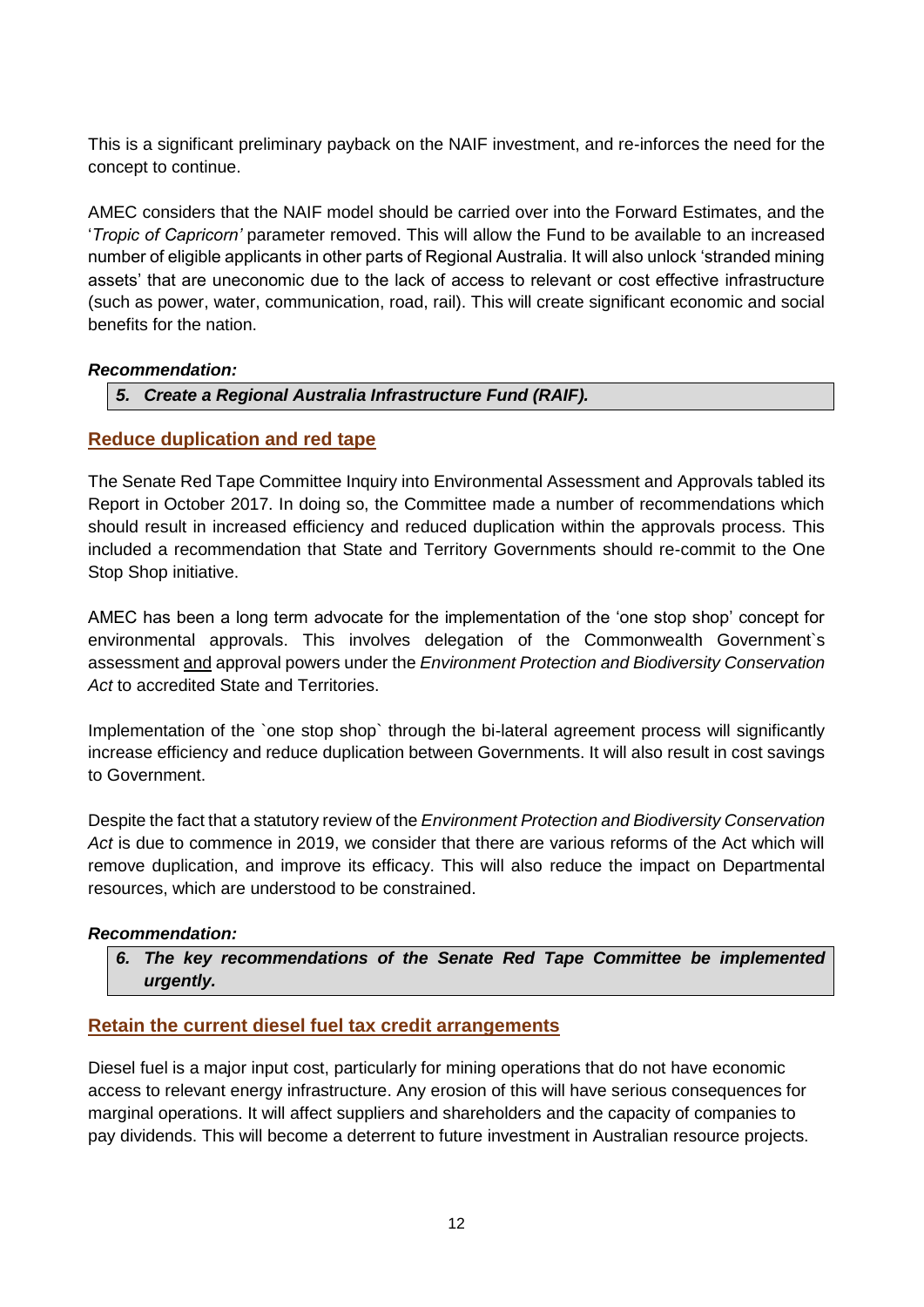This is a significant preliminary payback on the NAIF investment, and re-inforces the need for the concept to continue.

AMEC considers that the NAIF model should be carried over into the Forward Estimates, and the '*Tropic of Capricorn'* parameter removed. This will allow the Fund to be available to an increased number of eligible applicants in other parts of Regional Australia. It will also unlock 'stranded mining assets' that are uneconomic due to the lack of access to relevant or cost effective infrastructure (such as power, water, communication, road, rail). This will create significant economic and social benefits for the nation.

#### *Recommendation:*

### *5. Create a Regional Australia Infrastructure Fund (RAIF).*

### <span id="page-11-0"></span>**Reduce duplication and red tape**

The Senate Red Tape Committee Inquiry into Environmental Assessment and Approvals tabled its Report in October 2017. In doing so, the Committee made a number of recommendations which should result in increased efficiency and reduced duplication within the approvals process. This included a recommendation that State and Territory Governments should re-commit to the One Stop Shop initiative.

AMEC has been a long term advocate for the implementation of the 'one stop shop' concept for environmental approvals. This involves delegation of the Commonwealth Government`s assessment and approval powers under the *Environment Protection and Biodiversity Conservation Act* to accredited State and Territories.

Implementation of the `one stop shop` through the bi-lateral agreement process will significantly increase efficiency and reduce duplication between Governments. It will also result in cost savings to Government.

Despite the fact that a statutory review of the *Environment Protection and Biodiversity Conservation Act* is due to commence in 2019, we consider that there are various reforms of the Act which will remove duplication, and improve its efficacy. This will also reduce the impact on Departmental resources, which are understood to be constrained.

#### *Recommendation:*

*6. The key recommendations of the Senate Red Tape Committee be implemented urgently.*

### <span id="page-11-1"></span>**Retain the current diesel fuel tax credit arrangements**

Diesel fuel is a major input cost, particularly for mining operations that do not have economic access to relevant energy infrastructure. Any erosion of this will have serious consequences for marginal operations. It will affect suppliers and shareholders and the capacity of companies to pay dividends. This will become a deterrent to future investment in Australian resource projects.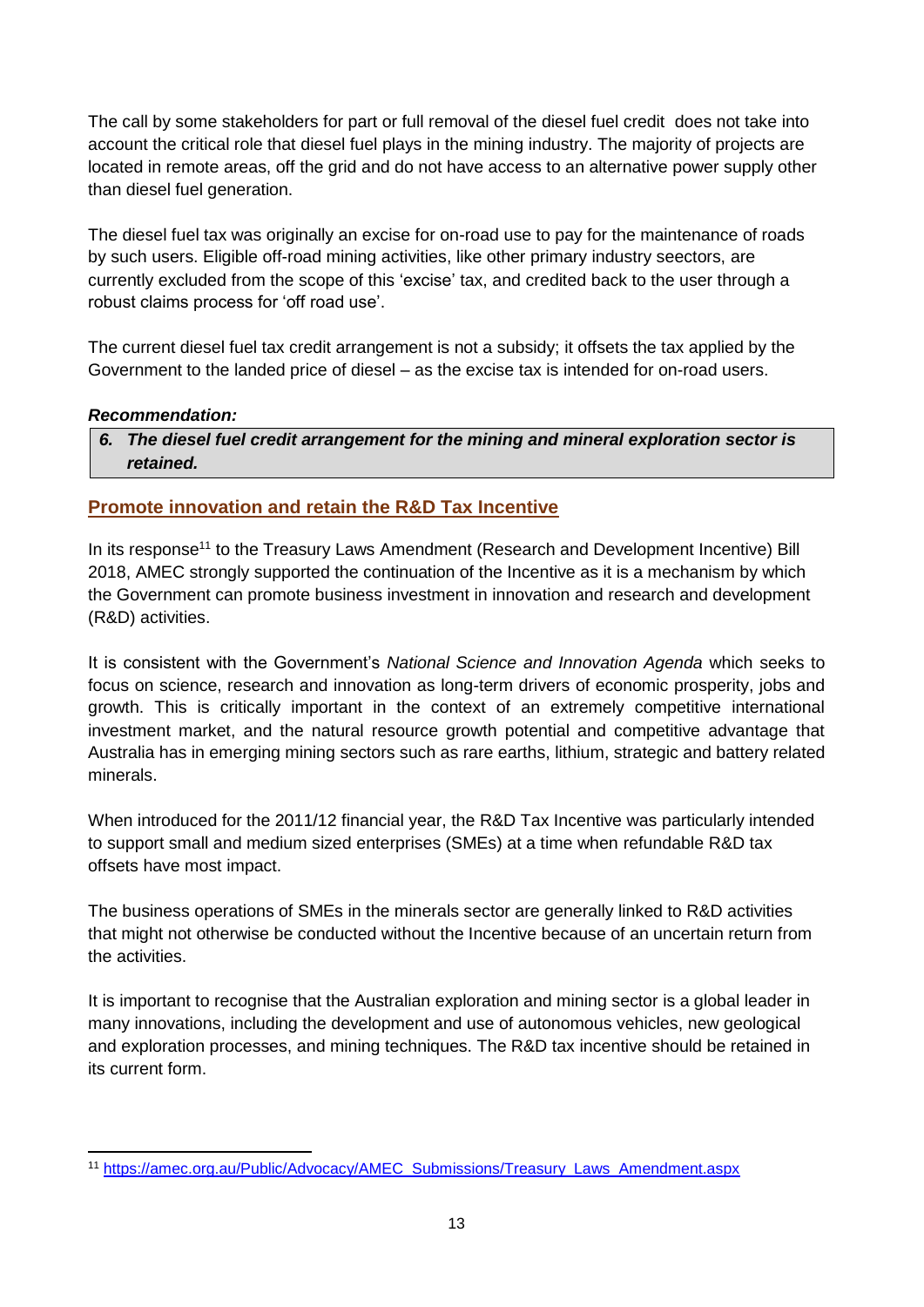The call by some stakeholders for part or full removal of the diesel fuel credit does not take into account the critical role that diesel fuel plays in the mining industry. The majority of projects are located in remote areas, off the grid and do not have access to an alternative power supply other than diesel fuel generation.

The diesel fuel tax was originally an excise for on-road use to pay for the maintenance of roads by such users. Eligible off-road mining activities, like other primary industry seectors, are currently excluded from the scope of this 'excise' tax, and credited back to the user through a robust claims process for 'off road use'.

The current diesel fuel tax credit arrangement is not a subsidy; it offsets the tax applied by the Government to the landed price of diesel – as the excise tax is intended for on-road users.

#### *Recommendation:*

*6. The diesel fuel credit arrangement for the mining and mineral exploration sector is retained.*

### <span id="page-12-0"></span>**Promote innovation and retain the R&D Tax Incentive**

In its response<sup>11</sup> to the Treasury Laws Amendment (Research and Development Incentive) Bill 2018, AMEC strongly supported the continuation of the Incentive as it is a mechanism by which the Government can promote business investment in innovation and research and development (R&D) activities.

It is consistent with the Government's *National Science and Innovation Agenda* which seeks to focus on science, research and innovation as long-term drivers of economic prosperity, jobs and growth. This is critically important in the context of an extremely competitive international investment market, and the natural resource growth potential and competitive advantage that Australia has in emerging mining sectors such as rare earths, lithium, strategic and battery related minerals.

When introduced for the 2011/12 financial year, the R&D Tax Incentive was particularly intended to support small and medium sized enterprises (SMEs) at a time when refundable R&D tax offsets have most impact.

The business operations of SMEs in the minerals sector are generally linked to R&D activities that might not otherwise be conducted without the Incentive because of an uncertain return from the activities.

It is important to recognise that the Australian exploration and mining sector is a global leader in many innovations, including the development and use of autonomous vehicles, new geological and exploration processes, and mining techniques. The R&D tax incentive should be retained in its current form.

 <sup>11</sup> [https://amec.org.au/Public/Advocacy/AMEC\\_Submissions/Treasury\\_Laws\\_Amendment.aspx](https://amec.org.au/Public/Advocacy/AMEC_Submissions/Treasury_Laws_Amendment.aspx)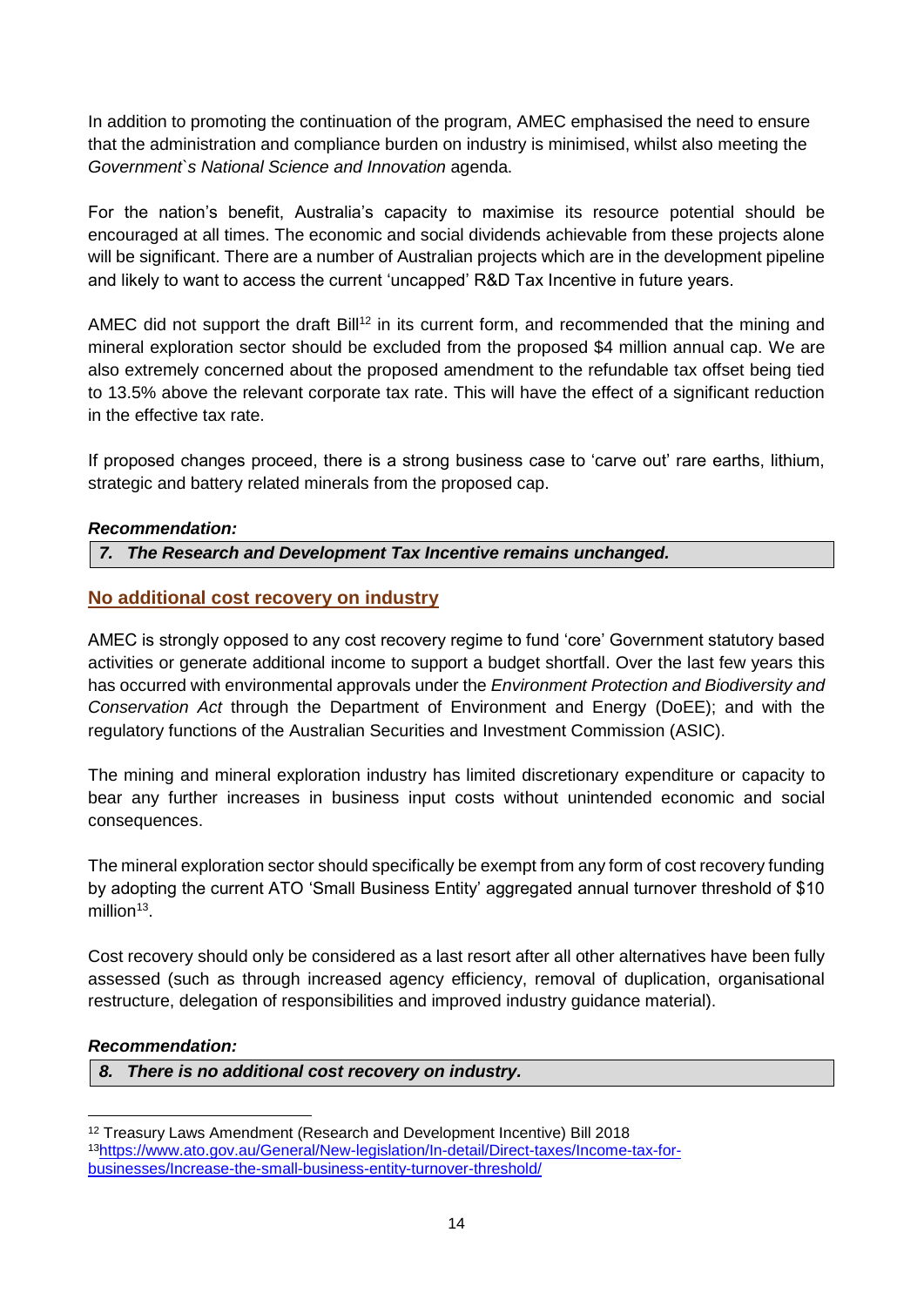In addition to promoting the continuation of the program, AMEC emphasised the need to ensure that the administration and compliance burden on industry is minimised, whilst also meeting the *Government`s National Science and Innovation* agenda.

For the nation's benefit, Australia's capacity to maximise its resource potential should be encouraged at all times. The economic and social dividends achievable from these projects alone will be significant. There are a number of Australian projects which are in the development pipeline and likely to want to access the current 'uncapped' R&D Tax Incentive in future years.

AMEC did not support the draft Bill<sup>12</sup> in its current form, and recommended that the mining and mineral exploration sector should be excluded from the proposed \$4 million annual cap. We are also extremely concerned about the proposed amendment to the refundable tax offset being tied to 13.5% above the relevant corporate tax rate. This will have the effect of a significant reduction in the effective tax rate.

If proposed changes proceed, there is a strong business case to 'carve out' rare earths, lithium, strategic and battery related minerals from the proposed cap.

#### *Recommendation:*

*7. The Research and Development Tax Incentive remains unchanged.*

### <span id="page-13-0"></span>**No additional cost recovery on industry**

AMEC is strongly opposed to any cost recovery regime to fund 'core' Government statutory based activities or generate additional income to support a budget shortfall. Over the last few years this has occurred with environmental approvals under the *Environment Protection and Biodiversity and Conservation Act* through the Department of Environment and Energy (DoEE); and with the regulatory functions of the Australian Securities and Investment Commission (ASIC).

The mining and mineral exploration industry has limited discretionary expenditure or capacity to bear any further increases in business input costs without unintended economic and social consequences.

The mineral exploration sector should specifically be exempt from any form of cost recovery funding by adopting the current ATO 'Small Business Entity' aggregated annual turnover threshold of \$10 million<sup>13</sup>.

Cost recovery should only be considered as a last resort after all other alternatives have been fully assessed (such as through increased agency efficiency, removal of duplication, organisational restructure, delegation of responsibilities and improved industry guidance material).

#### *Recommendation:*

 $\overline{a}$ 

*8. There is no additional cost recovery on industry.*

<sup>12</sup> Treasury Laws Amendment (Research and Development Incentive) Bill 2018 13[https://www.ato.gov.au/General/New-legislation/In-detail/Direct-taxes/Income-tax-for](https://www.ato.gov.au/General/New-legislation/In-detail/Direct-taxes/Income-tax-for-businesses/Increase-the-small-business-entity-turnover-threshold/)[businesses/Increase-the-small-business-entity-turnover-threshold/](https://www.ato.gov.au/General/New-legislation/In-detail/Direct-taxes/Income-tax-for-businesses/Increase-the-small-business-entity-turnover-threshold/)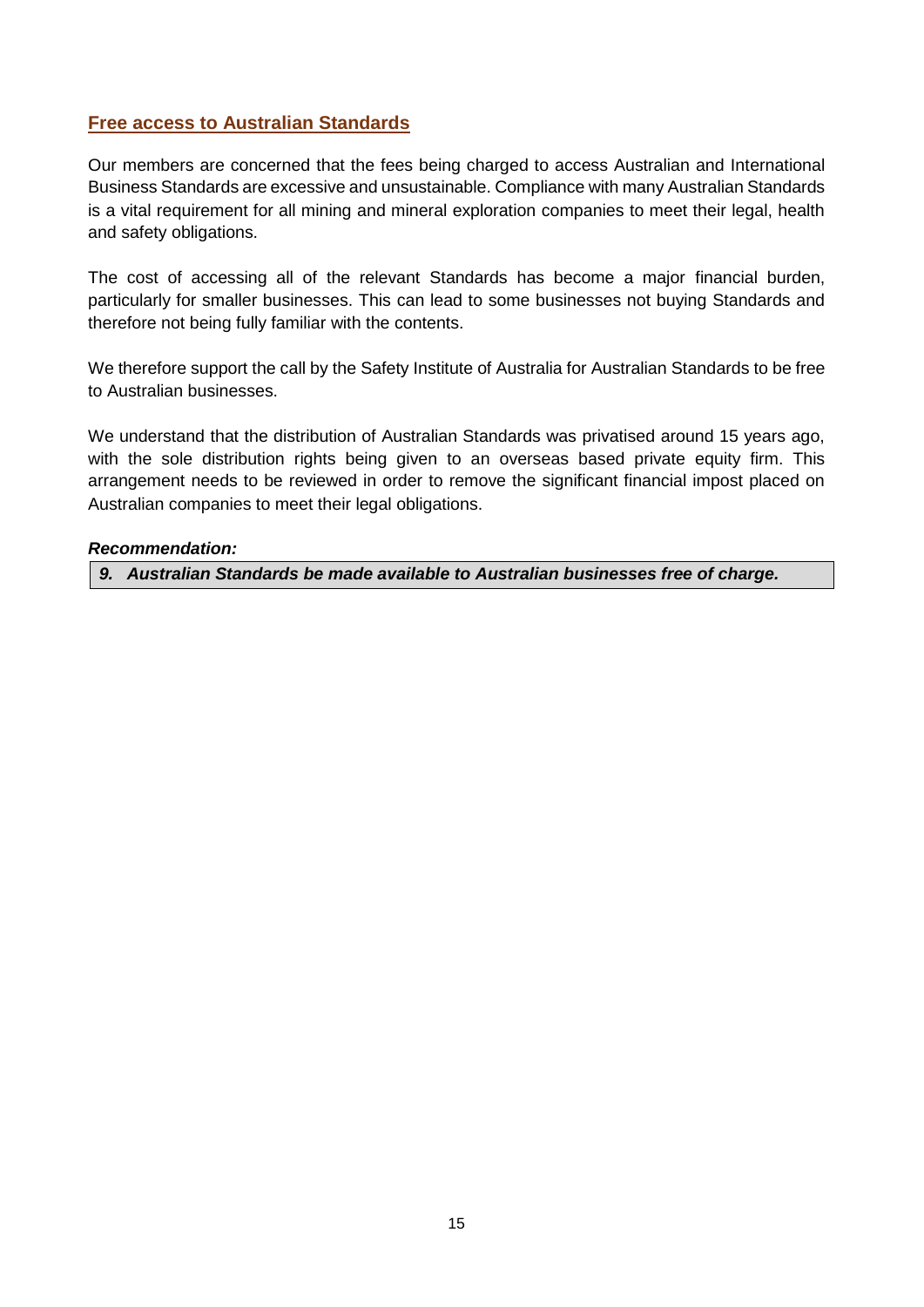### <span id="page-14-0"></span>**Free access to Australian Standards**

Our members are concerned that the fees being charged to access Australian and International Business Standards are excessive and unsustainable. Compliance with many Australian Standards is a vital requirement for all mining and mineral exploration companies to meet their legal, health and safety obligations.

The cost of accessing all of the relevant Standards has become a major financial burden, particularly for smaller businesses. This can lead to some businesses not buying Standards and therefore not being fully familiar with the contents.

We therefore support the call by the Safety Institute of Australia for Australian Standards to be free to Australian businesses.

We understand that the distribution of Australian Standards was privatised around 15 years ago, with the sole distribution rights being given to an overseas based private equity firm. This arrangement needs to be reviewed in order to remove the significant financial impost placed on Australian companies to meet their legal obligations.

#### *Recommendation:*

*9. Australian Standards be made available to Australian businesses free of charge.*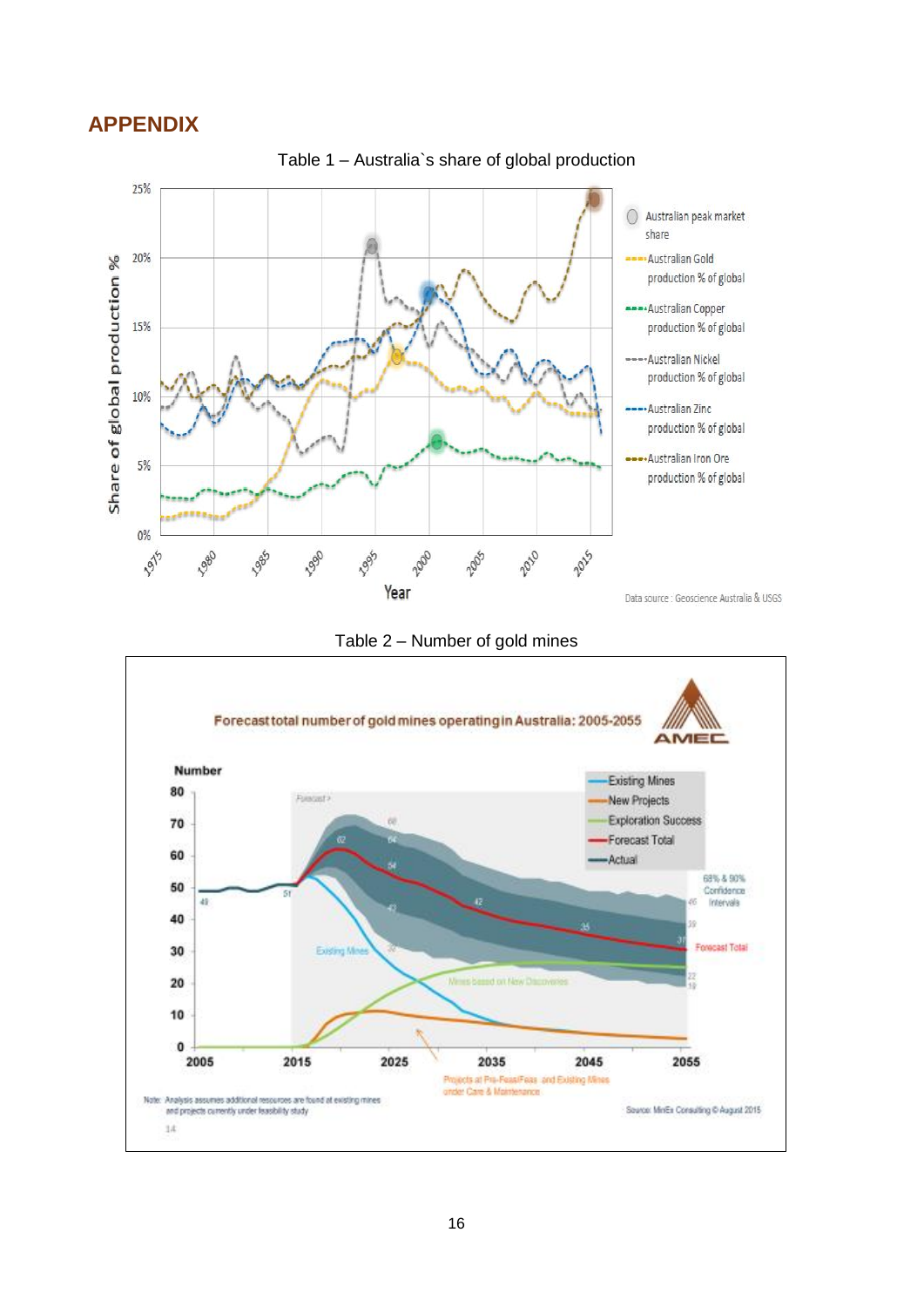## <span id="page-15-0"></span>**APPENDIX**



Table 2 – Number of gold mines



Table 1 – Australia`s share of global production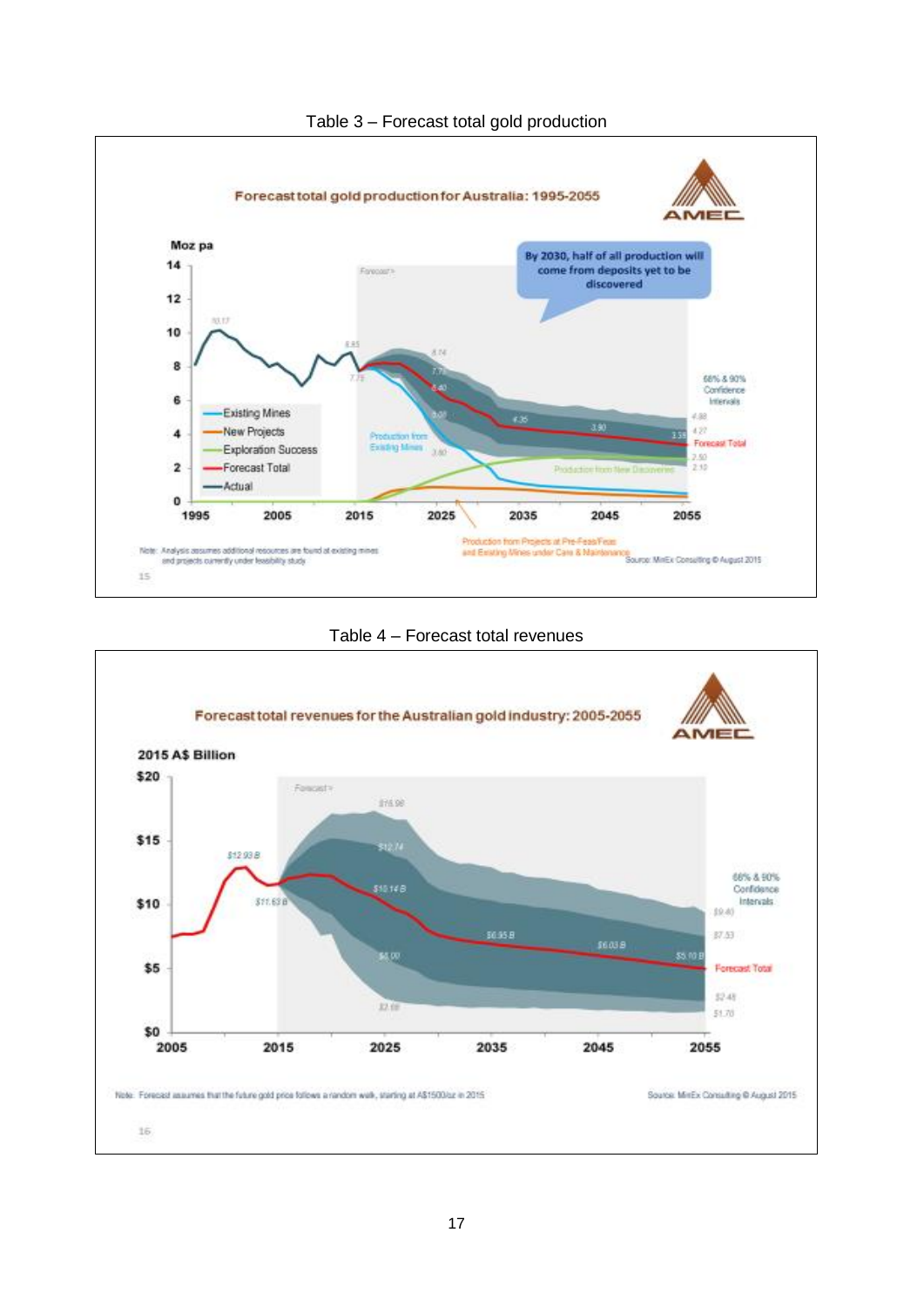





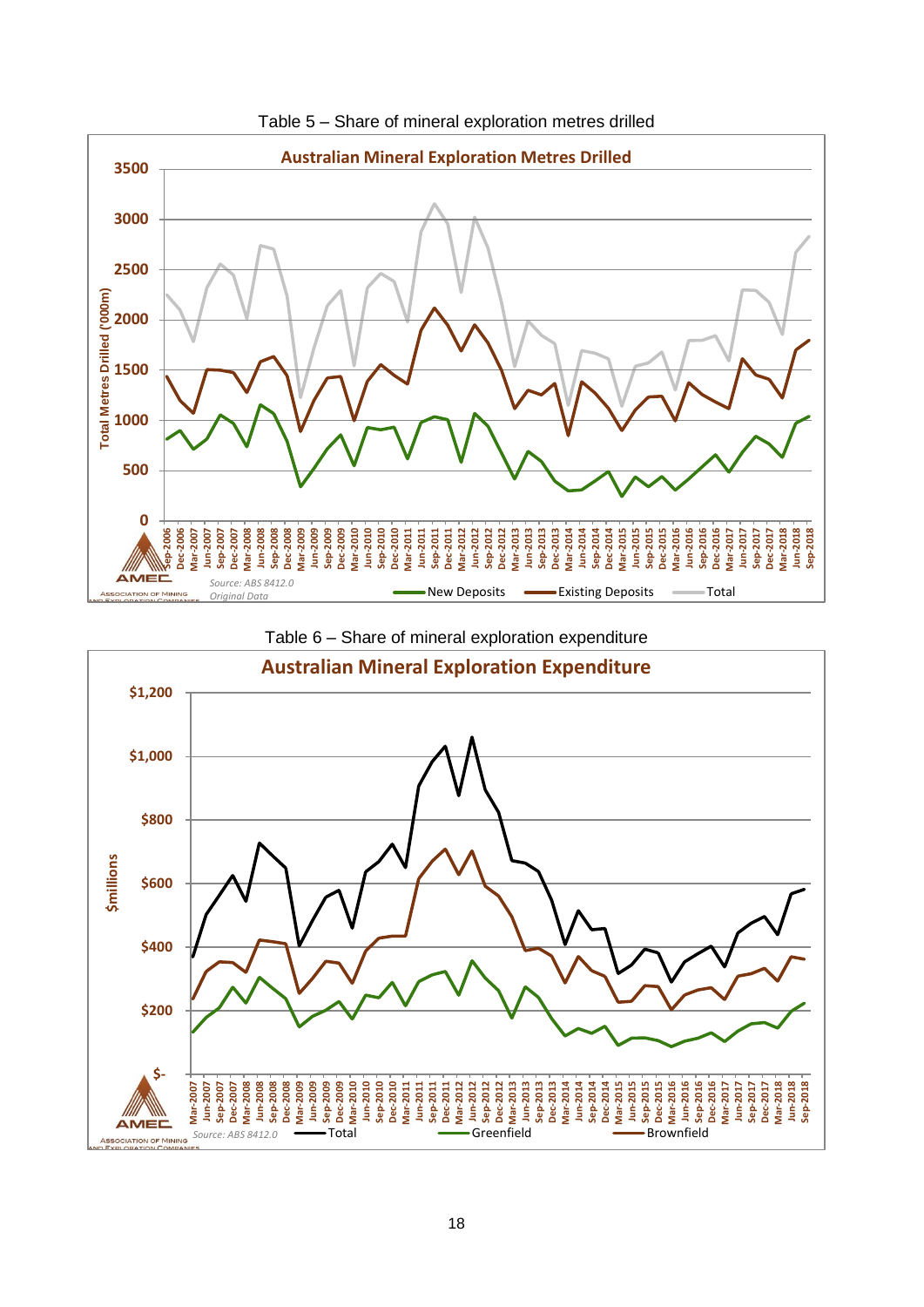





Table 6 – Share of mineral exploration expenditure

*Original Data*